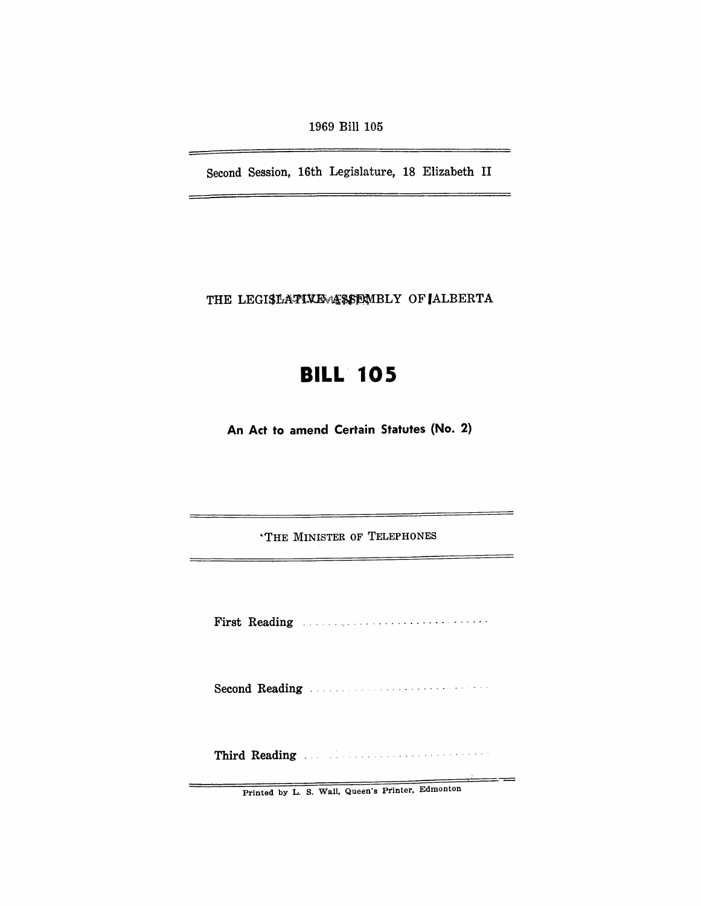1969 Bill 105

Second Session, 16th Legislature, 18 Elizabeth II

THE LEGISLATIVE ASSEMBLY OF ALBERTA

# **BILL 105**

**An Act to amend Certain Statutes (No.2)** 

"THE MINISTER OF TELEPHONES

First Reading **First Reading** 

Second Reading - -

Third Reading . --

══╼═

Printed by L. S. Wall, Queen's Printer, Edmonton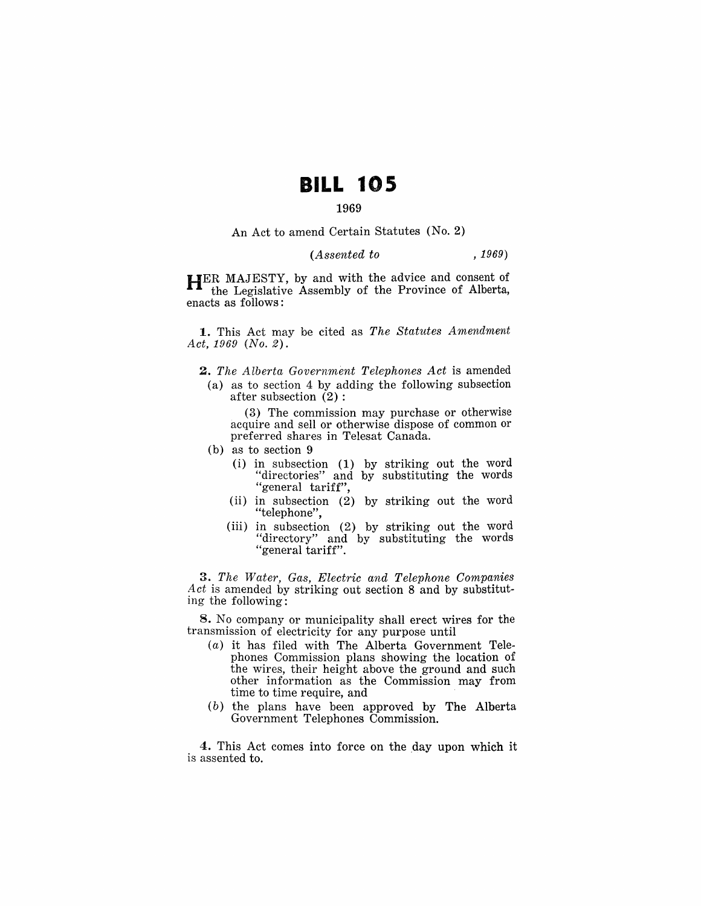# **BILL 105**

## 1969

An Act to amend Certain Statutes (No.2)

### *(Assented to* , 1969)

HER MAJESTY, by and with the advice and consent of the Legislative Assembly of the Province of Alberta, enacts as follows:

1. This Act may be cited as *The Statutes Amendment Act,* 1969 *(No.2).* 

- *2. The Alberta Government Telephones Act* is amended
- (a) as to section 4 by adding the following subsection after subsection  $(2)$ :

(3) The commission may purchase or otherwise acquire and sell or otherwise dispose of common or preferred shares in Telesat Canada.

- (b) as to section 9
	- (i) in subsection (1) by striking out the word "directories" and by substituting the words "general tariff",
	- (ii) in subsection (2) by striking out the word "telephone",
	- (iii) in subsection (2) by striking out the word "directory" and by substituting the words "general tariff".

*3. The Water, Gas, Electric and Telephone Companies Act* is amended by striking out section 8 and by substituting the following:

S. No company or municipality shall erect wires for the transmission of electricity for any purpose until

- $(a)$  it has filed with The Alberta Government Telephones Commission plans showing the location of the wires, their height above the ground and such other information as the Commission may from time to time require, and
- (b) the plans have been approved by The Alberta Government Telephones Commission.

4. This Act comes into force on the day upon which it is assented to.